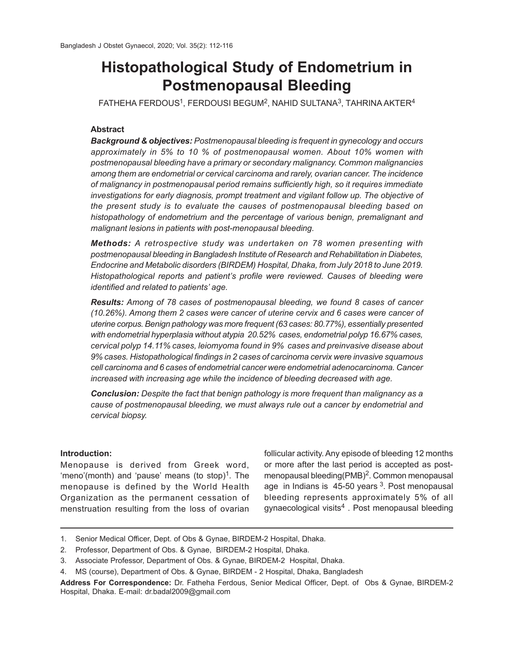# **Histopathological Study of Endometrium in Postmenopausal Bleeding**

 $\tt{FATHEHA}$  <code>FERDOUS</code><sup>1</sup>, <code>FERDOUSI</code> BEGUM<sup>2</sup>, <code>NAHID</code> SULTANA<sup>3</sup>, <code>TAHRINA</code> AKTER<sup>4</sup>

## **Abstract**

*Background & objectives: Postmenopausal bleeding is frequent in gynecology and occurs approximately in 5% to 10 % of postmenopausal women. About 10% women with postmenopausal bleeding have a primary or secondary malignancy. Common malignancies among them are endometrial or cervical carcinoma and rarely, ovarian cancer. The incidence of malignancy in postmenopausal period remains sufficiently high, so it requires immediate investigations for early diagnosis, prompt treatment and vigilant follow up. The objective of the present study is to evaluate the causes of postmenopausal bleeding based on histopathology of endometrium and the percentage of various benign, premalignant and malignant lesions in patients with post-menopausal bleeding.*

*Methods: A retrospective study was undertaken on 78 women presenting with postmenopausal bleeding in Bangladesh Institute of Research and Rehabilitation in Diabetes, Endocrine and Metabolic disorders (BIRDEM) Hospital, Dhaka, from July 2018 to June 2019. Histopathological reports and patient's profile were reviewed. Causes of bleeding were identified and related to patients' age.*

*Results: Among of 78 cases of postmenopausal bleeding, we found 8 cases of cancer (10.26%). Among them 2 cases were cancer of uterine cervix and 6 cases were cancer of uterine corpus. Benign pathology was more frequent (63 cases: 80.77%), essentially presented with endometrial hyperplasia without atypia 20.52% cases, endometrial polyp 16.67% cases, cervical polyp 14.11% cases, leiomyoma found in 9% cases and preinvasive disease about 9% cases. Histopathological findings in 2 cases of carcinoma cervix were invasive squamous cell carcinoma and 6 cases of endometrial cancer were endometrial adenocarcinoma. Cancer increased with increasing age while the incidence of bleeding decreased with age.*

*Conclusion: Despite the fact that benign pathology is more frequent than malignancy as a cause of postmenopausal bleeding, we must always rule out a cancer by endometrial and cervical biopsy.*

## **Introduction:**

Menopause is derived from Greek word, 'meno'(month) and 'pause' means (to stop)<sup>1</sup>. The menopause is defined by the World Health Organization as the permanent cessation of menstruation resulting from the loss of ovarian

follicular activity. Any episode of bleeding 12 months or more after the last period is accepted as postmenopausal bleeding(PMB)<sup>2</sup>. Common menopausal age in Indians is  $45-50$  years  $3$ . Post menopausal bleeding represents approximately 5% of all gynaecological visits $\rm ^4$  . Post menopausal bleeding

<sup>1.</sup> Senior Medical Officer, Dept. of Obs & Gynae, BIRDEM-2 Hospital, Dhaka.

<sup>2.</sup> Professor, Department of Obs. & Gynae, BIRDEM-2 Hospital, Dhaka.

<sup>3.</sup> Associate Professor, Department of Obs. & Gynae, BIRDEM-2 Hospital, Dhaka.

<sup>4.</sup> MS (course), Department of Obs. & Gynae, BIRDEM - 2 Hospital, Dhaka, Bangladesh

**Address For Correspondence:** Dr. Fatheha Ferdous, Senior Medical Officer, Dept. of Obs & Gynae, BIRDEM-2 Hospital, Dhaka. E-mail: dr.badal2009@gmail.com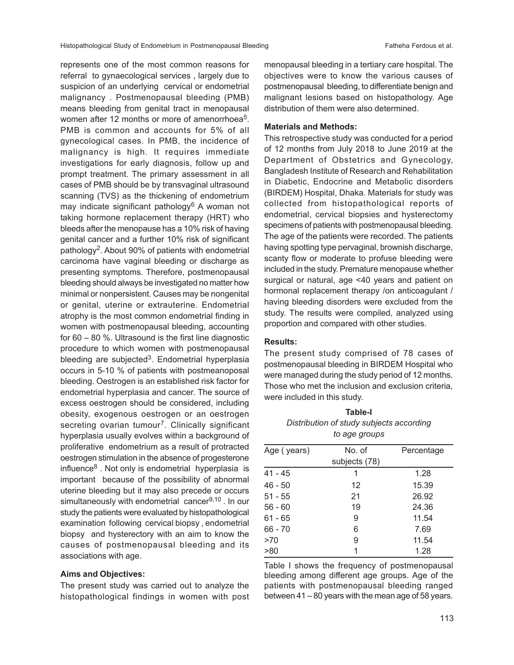represents one of the most common reasons for referral to gynaecological services , largely due to suspicion of an underlying cervical or endometrial malignancy . Postmenopausal bleeding (PMB) means bleeding from genital tract in menopausal women after 12 months or more of amenorrhoea<sup>5</sup>. PMB is common and accounts for 5% of all gynecological cases. In PMB, the incidence of malignancy is high. It requires immediate investigations for early diagnosis, follow up and prompt treatment. The primary assessment in all cases of PMB should be by transvaginal ultrasound scanning (TVS) as the thickening of endometrium may indicate significant pathology<sup>6</sup> A woman not taking hormone replacement therapy (HRT) who bleeds after the menopause has a 10% risk of having genital cancer and a further 10% risk of significant pathology<sup>2</sup>. About 90% of patients with endometrial carcinoma have vaginal bleeding or discharge as presenting symptoms. Therefore, postmenopausal bleeding should always be investigated no matter how minimal or nonpersistent. Causes may be nongenital or genital, uterine or extrauterine. Endometrial atrophy is the most common endometrial finding in women with postmenopausal bleeding, accounting for 60 – 80 %. Ultrasound is the first line diagnostic procedure to which women with postmenopausal bleeding are subjected<sup>3</sup>. Endometrial hyperplasia occurs in 5-10 % of patients with postmeanoposal bleeding. Oestrogen is an established risk factor for endometrial hyperplasia and cancer. The source of excess oestrogen should be considered, including obesity, exogenous oestrogen or an oestrogen secreting ovarian tumour<sup>7</sup>. Clinically significant hyperplasia usually evolves within a background of proliferative endometrium as a result of protracted oestrogen stimulation in the absence of progesterone influence<sup>8</sup> . Not only is endometrial hyperplasia is important because of the possibility of abnormal uterine bleeding but it may also precede or occurs simultaneously with endometrial cancer $9,10$ . In our study the patients were evaluated by histopathological examination following cervical biopsy , endometrial biopsy and hysterectory with an aim to know the causes of postmenopausal bleeding and its associations with age.

#### **Aims and Objectives:**

The present study was carried out to analyze the histopathological findings in women with post menopausal bleeding in a tertiary care hospital. The objectives were to know the various causes of postmenopausal bleeding, to differentiate benign and malignant lesions based on histopathology. Age distribution of them were also determined.

## **Materials and Methods:**

This retrospective study was conducted for a period of 12 months from July 2018 to June 2019 at the Department of Obstetrics and Gynecology, Bangladesh Institute of Research and Rehabilitation in Diabetic, Endocrine and Metabolic disorders (BIRDEM) Hospital, Dhaka. Materials for study was collected from histopathological reports of endometrial, cervical biopsies and hysterectomy specimens of patients with postmenopausal bleeding. The age of the patients were recorded. The patients having spotting type pervaginal, brownish discharge, scanty flow or moderate to profuse bleeding were included in the study. Premature menopause whether surgical or natural, age <40 years and patient on hormonal replacement therapy /on anticoagulant / having bleeding disorders were excluded from the study. The results were compiled, analyzed using proportion and compared with other studies.

### **Results:**

The present study comprised of 78 cases of postmenopausal bleeding in BIRDEM Hospital who were managed during the study period of 12 months. Those who met the inclusion and exclusion criteria, were included in this study.

**Table-I** *Distribution of study subjects according to age groups*

| Age (years) | No. of        | Percentage |
|-------------|---------------|------------|
|             | subjects (78) |            |
| 41 - 45     | 1             | 1.28       |
| 46 - 50     | 12            | 15.39      |
| $51 - 55$   | 21            | 26.92      |
| $56 - 60$   | 19            | 24.36      |
| $61 - 65$   | 9             | 11.54      |
| $66 - 70$   | 6             | 7.69       |
| >70         | 9             | 11.54      |
| >80         | 1             | 1.28       |

Table I shows the frequency of postmenopausal bleeding among different age groups. Age of the patients with postmenopausal bleeding ranged between 41 – 80 years with the mean age of 58 years.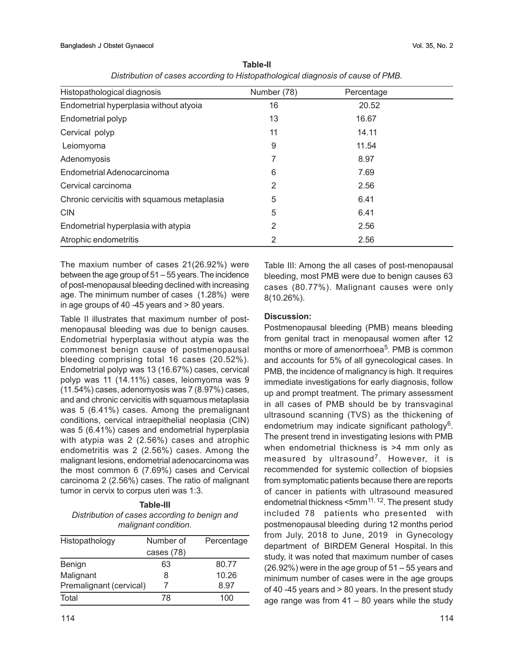| Histopathological diagnosis                 | Number (78) | Percentage |  |
|---------------------------------------------|-------------|------------|--|
| Endometrial hyperplasia without atyoia      | 16          | 20.52      |  |
| Endometrial polyp                           | 13          | 16.67      |  |
| Cervical polyp                              | 11          | 14.11      |  |
| Leiomyoma                                   | 9           | 11.54      |  |
| Adenomyosis                                 | 7           | 8.97       |  |
| Endometrial Adenocarcinoma                  | 6           | 7.69       |  |
| Cervical carcinoma                          | 2           | 2.56       |  |
| Chronic cervicitis with squamous metaplasia | 5           | 6.41       |  |
| <b>CIN</b>                                  | 5           | 6.41       |  |
| Endometrial hyperplasia with atypia         | 2           | 2.56       |  |
| Atrophic endometritis                       | 2           | 2.56       |  |

**Table-II** *Distribution of cases according to Histopathological diagnosis of cause of PMB.*

The maxium number of cases 21(26.92%) were between the age group of 51 – 55 years. The incidence of post-menopausal bleeding declined with increasing age. The minimum number of cases (1.28%) were in age groups of 40 -45 years and > 80 years.

Table II illustrates that maximum number of postmenopausal bleeding was due to benign causes. Endometrial hyperplasia without atypia was the commonest benign cause of postmenopausal bleeding comprising total 16 cases (20.52%). Endometrial polyp was 13 (16.67%) cases, cervical polyp was 11 (14.11%) cases, leiomyoma was 9 (11.54%) cases, adenomyosis was 7 (8.97%) cases, and and chronic cervicitis with squamous metaplasia was 5 (6.41%) cases. Among the premalignant conditions, cervical intraepithelial neoplasia (CIN) was 5 (6.41%) cases and endometrial hyperplasia with atypia was 2 (2.56%) cases and atrophic endometritis was 2 (2.56%) cases. Among the malignant lesions, endometrial adenocarcinoma was the most common 6 (7.69%) cases and Cervical carcinoma 2 (2.56%) cases. The ratio of malignant tumor in cervix to corpus uteri was 1:3.

## **Table-III** *Distribution of cases according to benign and malignant condition.*

| Histopathology          | Number of    | Percentage |
|-------------------------|--------------|------------|
|                         | cases $(78)$ |            |
| Benign                  | 63           | 80.77      |
| Malignant               | 8            | 10.26      |
| Premalignant (cervical) |              | 8.97       |
| Total                   | 78           | 100        |

Table III: Among the all cases of post-menopausal bleeding, most PMB were due to benign causes 63 cases (80.77%). Malignant causes were only 8(10.26%).

# **Discussion:**

Postmenopausal bleeding (PMB) means bleeding from genital tract in menopausal women after 12 months or more of amenorrhoea<sup>5</sup>. PMB is common and accounts for 5% of all gynecological cases. In PMB, the incidence of malignancy is high. It requires immediate investigations for early diagnosis, follow up and prompt treatment. The primary assessment in all cases of PMB should be by transvaginal ultrasound scanning (TVS) as the thickening of endometrium may indicate significant pathology<sup>6</sup>. The present trend in investigating lesions with PMB when endometrial thickness is >4 mm only as measured by ultrasound<sup>7</sup>. However, it is recommended for systemic collection of biopsies from symptomatic patients because there are reports of cancer in patients with ultrasound measured endometrial thickness <5mm<sup>11, 12</sup>. The present study included 78 patients who presented with postmenopausal bleeding during 12 months period from July, 2018 to June, 2019 in Gynecology department of BIRDEM General Hospital. In this study, it was noted that maximum number of cases (26.92%) were in the age group of 51 – 55 years and minimum number of cases were in the age groups of 40 -45 years and > 80 years. In the present study age range was from  $41 - 80$  years while the study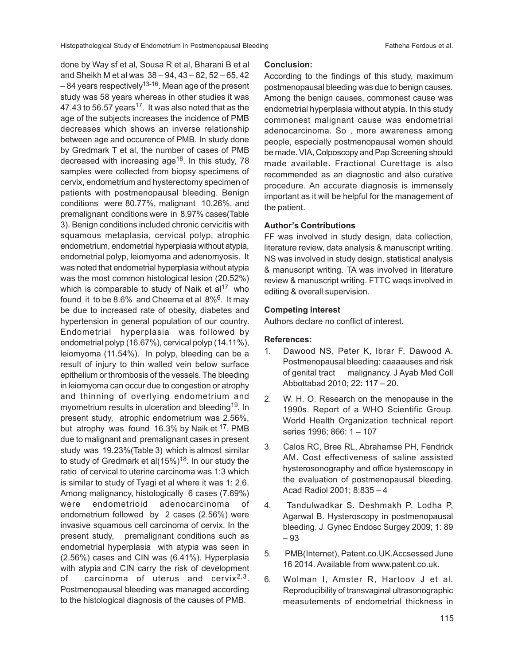done by Way sf et al, Sousa R et al, Bharani B et al and Sheikh M et al was 38 – 94, 43 – 82, 52 – 65, 42  $-84$  years respectively<sup>13-16</sup>. Mean age of the present study was 58 years whereas in other studies it was 47.43 to 56.57 years<sup>17</sup>. It was also noted that as the age of the subjects increases the incidence of PMB decreases which shows an inverse relationship between age and occurence of PMB. In study done by Gredmark T et al, the number of cases of PMB decreased with increasing age<sup>16</sup>. In this study, 78 samples were collected from biopsy specimens of cervix, endometrium and hysterectomy specimen of patients with postmenopausal bleeding. Benign conditions were 80.77%, malignant 10.26%, and premalignant conditions were in 8.97% cases(Table 3). Benign conditions included chronic cervicitis with squamous metaplasia, cervical polyp, atrophic endometrium, endometrial hyperplasia without atypia, endometrial polyp, leiomyoma and adenomyosis. It was noted that endometrial hyperplasia without atypia was the most common histological lesion (20.52%) which is comparable to study of Naik et  $al^{17}$  who found it to be 8.6% and Cheema et al  $8\%$ <sup>6</sup>. It may be due to increased rate of obesity, diabetes and hypertension in general population of our country. Endometrial hyperplasia was followed by endometrial polyp (16.67%), cervical polyp (14.11%), leiomyoma (11.54%). In polyp, bleeding can be a result of injury to thin walled vein below surface epithelium or thrombosis of the vessels. The bleeding in leiomyoma can occur due to congestion or atrophy and thinning of overlying endometrium and myometrium results in ulceration and bleeding<sup>19</sup>. In present study, atrophic endometrium was 2.56%, but atrophy was found 16.3% by Naik et <sup>17</sup>. PMB due to malignant and premalignant cases in present study was 19.23%(Table 3) which is almost similar to study of Gredmark et al $(15%)^{18}$ . In our study the ratio of cervical to uterine carcinoma was 1:3 which is similar to study of Tyagi et al where it was 1: 2.6. Among malignancy, histologically 6 cases (7.69%) were endometrioid adenocarcinoma of endometrium followed by 2 cases (2.56%) were invasive squamous cell carcinoma of cervix. In the present study, premalignant conditions such as endometrial hyperplasia with atypia was seen in (2.56%) cases and CIN was (6.41%). Hyperplasia with atypia and CIN carry the risk of development of carcinoma of uterus and cervix<sup>2,3</sup>. Postmenopausal bleeding was managed according to the histological diagnosis of the causes of PMB.

### **Conclusion:**

According to the findings of this study, maximum postmenopausal bleeding was due to benign causes. Among the benign causes, commonest cause was endometrial hyperplasia without atypia. In this study commonest malignant cause was endometrial adenocarcinoma. So , more awareness among people, especially postmenopausal women should be made. VIA, Colposcopy and Pap Screening should made available. Fractional Curettage is also recommended as an diagnostic and also curative procedure. An accurate diagnosis is immensely important as it will be helpful for the management of the patient.

## **Author's Contributions**

FF was involved in study design, data collection, literature review, data analysis & manuscript writing. NS was involved in study design, statistical analysis & manuscript writing. TA was involved in literature review & manuscript writing. FTTC waqs involved in editing & overall supervision.

## **Competing interest**

Authors declare no conflict of interest.

#### **References:**

- 1. Dawood NS, Peter K, Ibrar F, Dawood A. Postmenopausal bleeding: caaaauses and risk of genital tract malignancy. J Ayab Med Coll Abbottabad 2010; 22: 117 – 20.
- 2. W. H. O. Research on the menopause in the 1990s. Report of a WHO Scientific Group. World Health Organization technical report series 1996; 866: 1 – 107
- 3. Calos RC, Bree RL, Abrahamse PH, Fendrick AM. Cost effectiveness of saline assisted hysterosonography and office hysteroscopy in the evaluation of postmenopausal bleeding. Acad Radiol 2001; 8:835 – 4
- 4. Tandulwadkar S. Deshmakh P. Lodha P, Agarwal B. Hysteroscopy in postmenopausal bleeding. J Gynec Endosc Surgey 2009; 1: 89 – 93
- 5. PMB(Internet), Patent.co.UK.Accsessed June 16 2014. Available from www.patent.co.uk.
- 6. Wolman I, Amster R, Hartoov J et al. Reproducibility of transvaginal ultrasonographic measutements of endometrial thickness in